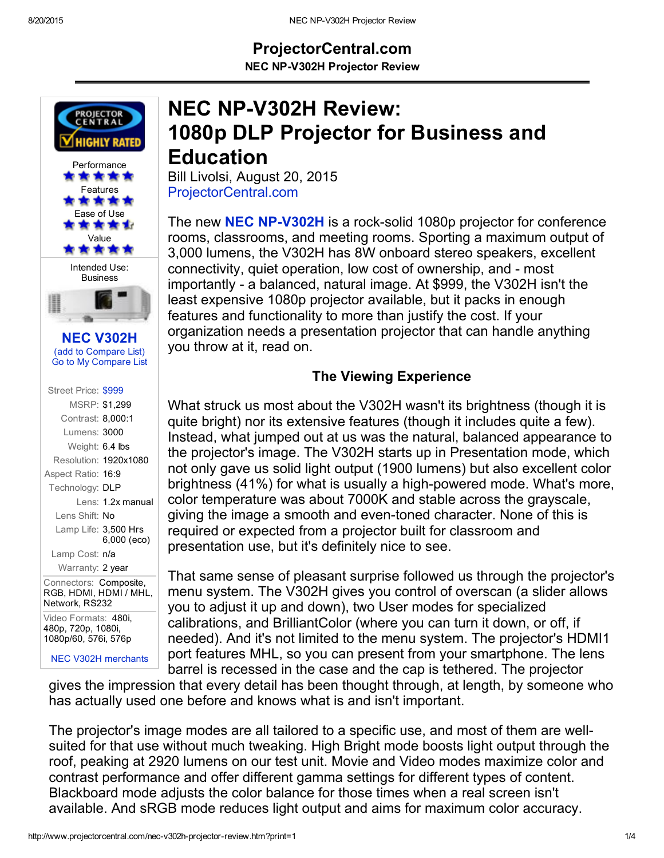# ProjectorCentral.com

NEC NP-V302H Projector Review



Video Formats: 480i, 480p, 720p, 1080i, 1080p/60, 576i, 576p

NEC V302H [merchants](http://www.projectorcentral.com/NEC-V302H-prices.htm)

# NEC NP-V302H Review: 1080p DLP Projector for Business and Education

Bill Livolsi, August 20, 2015 [ProjectorCentral.com](http://www.projectorcentral.com/)

The new **NEC NP-V302H** is a rock-solid 1080p projector for conference rooms, classrooms, and meeting rooms. Sporting a maximum output of 3,000 lumens, the V302H has 8W onboard stereo speakers, excellent connectivity, quiet operation, low cost of ownership, and - most importantly - a balanced, natural image. At \$999, the V302H isn't the least expensive 1080p projector available, but it packs in enough features and functionality to more than justify the cost. If your organization needs a presentation projector that can handle anything you throw at it, read on.

### The Viewing Experience

What struck us most about the V302H wasn't its brightness (though it is quite bright) nor its extensive features (though it includes quite a few). Instead, what jumped out at us was the natural, balanced appearance to the projector's image. The V302H starts up in Presentation mode, which not only gave us solid light output (1900 lumens) but also excellent color brightness (41%) for what is usually a high-powered mode. What's more, color temperature was about 7000K and stable across the grayscale, giving the image a smooth and even-toned character. None of this is required or expected from a projector built for classroom and presentation use, but it's definitely nice to see.

That same sense of pleasant surprise followed us through the projector's menu system. The V302H gives you control of overscan (a slider allows you to adjust it up and down), two User modes for specialized calibrations, and BrilliantColor (where you can turn it down, or off, if needed). And it's not limited to the menu system. The projector's HDMI1 port features MHL, so you can present from your smartphone. The lens barrel is recessed in the case and the cap is tethered. The projector

gives the impression that every detail has been thought through, at length, by someone who has actually used one before and knows what is and isn't important.

The projector's image modes are all tailored to a specific use, and most of them are wellsuited for that use without much tweaking. High Bright mode boosts light output through the roof, peaking at 2920 lumens on our test unit. Movie and Video modes maximize color and contrast performance and offer different gamma settings for different types of content. Blackboard mode adjusts the color balance for those times when a real screen isn't available. And sRGB mode reduces light output and aims for maximum color accuracy.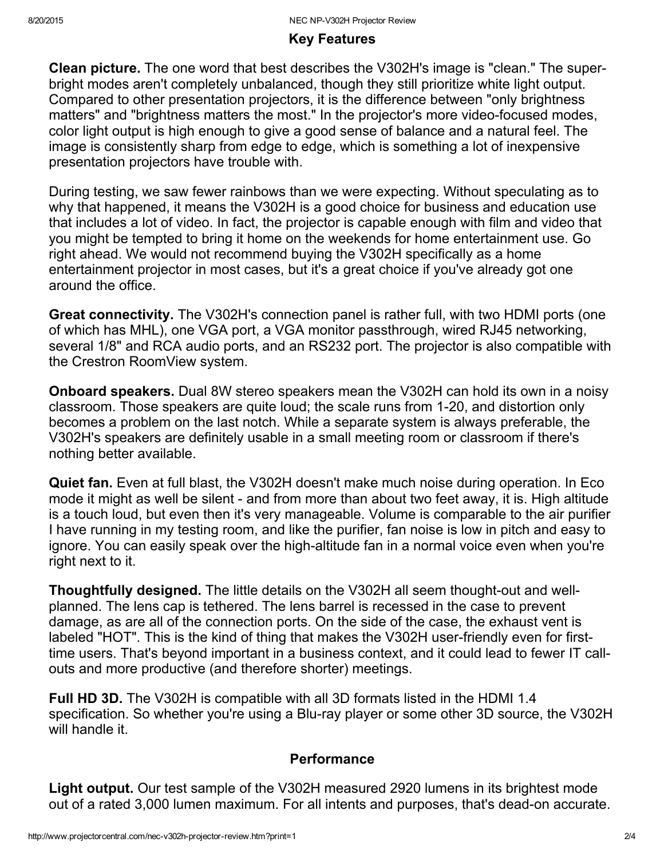## Key Features

Clean picture. The one word that best describes the V302H's image is "clean." The superbright modes aren't completely unbalanced, though they still prioritize white light output. Compared to other presentation projectors, it is the difference between "only brightness matters" and "brightness matters the most." In the projector's more video-focused modes, color light output is high enough to give a good sense of balance and a natural feel. The image is consistently sharp from edge to edge, which is something a lot of inexpensive presentation projectors have trouble with.

During testing, we saw fewer rainbows than we were expecting. Without speculating as to why that happened, it means the V302H is a good choice for business and education use that includes a lot of video. In fact, the projector is capable enough with film and video that you might be tempted to bring it home on the weekends for home entertainment use. Go right ahead. We would not recommend buying the V302H specifically as a home entertainment projector in most cases, but it's a great choice if you've already got one around the office.

Great connectivity. The V302H's connection panel is rather full, with two HDMI ports (one of which has MHL), one VGA port, a VGA monitor passthrough, wired RJ45 networking, several 1/8" and RCA audio ports, and an RS232 port. The projector is also compatible with the Crestron RoomView system.

Onboard speakers. Dual 8W stereo speakers mean the V302H can hold its own in a noisy classroom. Those speakers are quite loud; the scale runs from 1-20, and distortion only becomes a problem on the last notch. While a separate system is always preferable, the V302H's speakers are definitely usable in a small meeting room or classroom if there's nothing better available.

Quiet fan. Even at full blast, the V302H doesn't make much noise during operation. In Eco mode it might as well be silent - and from more than about two feet away, it is. High altitude is a touch loud, but even then it's very manageable. Volume is comparable to the air purifier I have running in my testing room, and like the purifier, fan noise is low in pitch and easy to ignore. You can easily speak over the high-altitude fan in a normal voice even when you're right next to it.

Thoughtfully designed. The little details on the V302H all seem thought-out and wellplanned. The lens cap is tethered. The lens barrel is recessed in the case to prevent damage, as are all of the connection ports. On the side of the case, the exhaust vent is labeled "HOT". This is the kind of thing that makes the V302H user-friendly even for firsttime users. That's beyond important in a business context, and it could lead to fewer IT callouts and more productive (and therefore shorter) meetings.

Full HD 3D. The V302H is compatible with all 3D formats listed in the HDMI 1.4 specification. So whether you're using a Blu-ray player or some other 3D source, the V302H will handle it.

### Performance

Light output. Our test sample of the V302H measured 2920 lumens in its brightest mode out of a rated 3,000 lumen maximum. For all intents and purposes, that's dead-on accurate.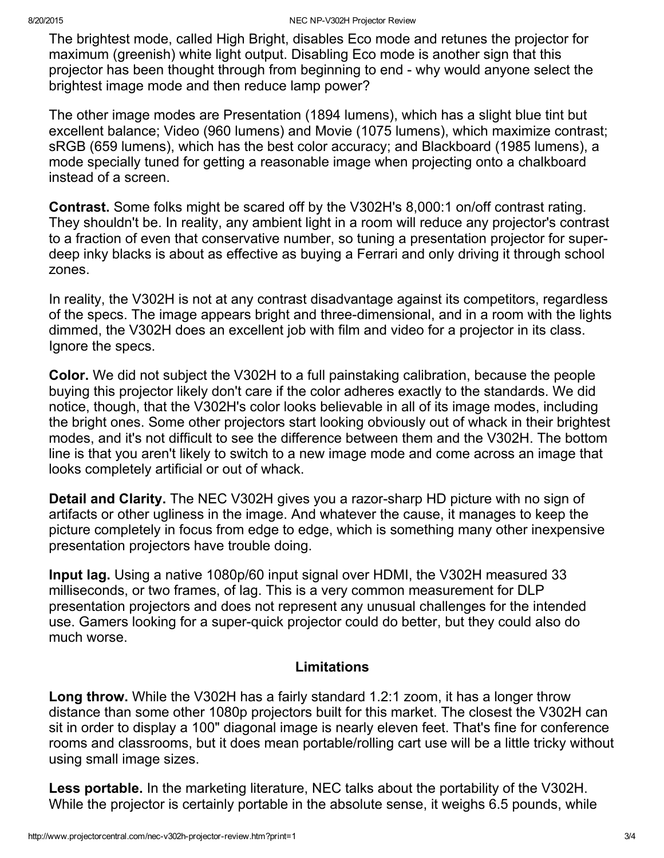The brightest mode, called High Bright, disables Eco mode and retunes the projector for maximum (greenish) white light output. Disabling Eco mode is another sign that this projector has been thought through from beginning to end why would anyone select the brightest image mode and then reduce lamp power?

The other image modes are Presentation (1894 lumens), which has a slight blue tint but excellent balance; Video (960 lumens) and Movie (1075 lumens), which maximize contrast; sRGB (659 lumens), which has the best color accuracy; and Blackboard (1985 lumens), a mode specially tuned for getting a reasonable image when projecting onto a chalkboard instead of a screen.

Contrast. Some folks might be scared off by the V302H's 8,000:1 on/off contrast rating. They shouldn't be. In reality, any ambient light in a room will reduce any projector's contrast to a fraction of even that conservative number, so tuning a presentation projector for superdeep inky blacks is about as effective as buying a Ferrari and only driving it through school zones.

In reality, the V302H is not at any contrast disadvantage against its competitors, regardless of the specs. The image appears bright and three-dimensional, and in a room with the lights dimmed, the V302H does an excellent job with film and video for a projector in its class. Ignore the specs.

Color. We did not subject the V302H to a full painstaking calibration, because the people buying this projector likely don't care if the color adheres exactly to the standards. We did notice, though, that the V302H's color looks believable in all of its image modes, including the bright ones. Some other projectors start looking obviously out of whack in their brightest modes, and it's not difficult to see the difference between them and the V302H. The bottom line is that you aren't likely to switch to a new image mode and come across an image that looks completely artificial or out of whack.

**Detail and Clarity.** The NEC V302H gives you a razor-sharp HD picture with no sign of artifacts or other ugliness in the image. And whatever the cause, it manages to keep the picture completely in focus from edge to edge, which is something many other inexpensive presentation projectors have trouble doing.

Input lag. Using a native 1080p/60 input signal over HDMI, the V302H measured 33 milliseconds, or two frames, of lag. This is a very common measurement for DLP presentation projectors and does not represent any unusual challenges for the intended use. Gamers looking for a super-quick projector could do better, but they could also do much worse.

#### Limitations

Long throw. While the V302H has a fairly standard 1.2:1 zoom, it has a longer throw distance than some other 1080p projectors built for this market. The closest the V302H can sit in order to display a 100" diagonal image is nearly eleven feet. That's fine for conference rooms and classrooms, but it does mean portable/rolling cart use will be a little tricky without using small image sizes.

Less portable. In the marketing literature, NEC talks about the portability of the V302H. While the projector is certainly portable in the absolute sense, it weighs 6.5 pounds, while